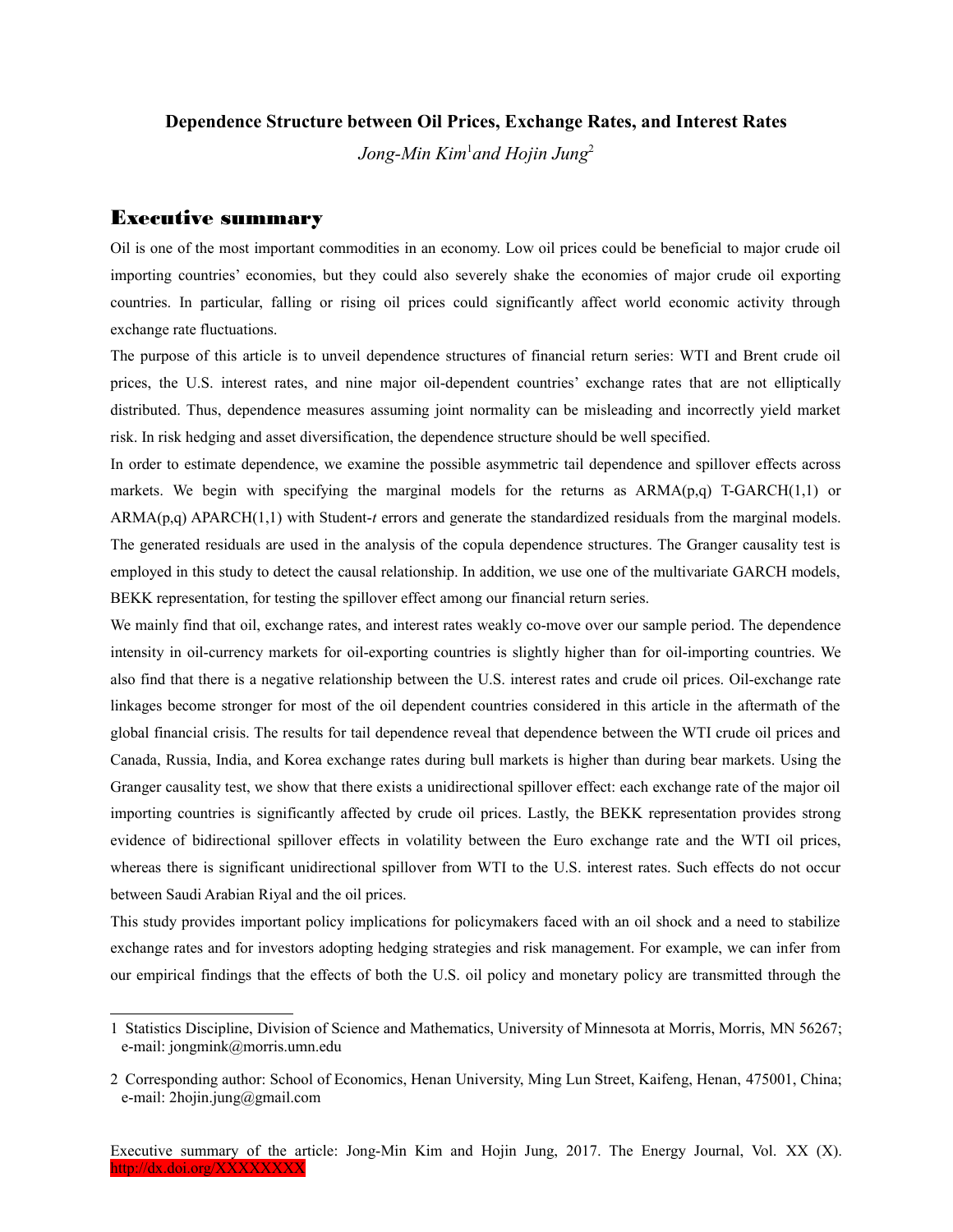## **Dependence Structure between Oil Prices, Exchange Rates, and Interest Rates**

*Jong-Min Kim*[1](#page-0-0) *and Hojin Jung*[2](#page-0-1)

## Executive summary

Oil is one of the most important commodities in an economy. Low oil prices could be beneficial to major crude oil importing countries' economies, but they could also severely shake the economies of major crude oil exporting countries. In particular, falling or rising oil prices could significantly affect world economic activity through exchange rate fluctuations.

The purpose of this article is to unveil dependence structures of financial return series: WTI and Brent crude oil prices, the U.S. interest rates, and nine major oil-dependent countries' exchange rates that are not elliptically distributed. Thus, dependence measures assuming joint normality can be misleading and incorrectly yield market risk. In risk hedging and asset diversification, the dependence structure should be well specified.

In order to estimate dependence, we examine the possible asymmetric tail dependence and spillover effects across markets. We begin with specifying the marginal models for the returns as  $ARMA(p,q)$  T-GARCH $(1,1)$  or ARMA(p,q) APARCH(1,1) with Student-*t* errors and generate the standardized residuals from the marginal models. The generated residuals are used in the analysis of the copula dependence structures. The Granger causality test is employed in this study to detect the causal relationship. In addition, we use one of the multivariate GARCH models, BEKK representation, for testing the spillover effect among our financial return series.

We mainly find that oil, exchange rates, and interest rates weakly co-move over our sample period. The dependence intensity in oil-currency markets for oil-exporting countries is slightly higher than for oil-importing countries. We also find that there is a negative relationship between the U.S. interest rates and crude oil prices. Oil-exchange rate linkages become stronger for most of the oil dependent countries considered in this article in the aftermath of the global financial crisis. The results for tail dependence reveal that dependence between the WTI crude oil prices and Canada, Russia, India, and Korea exchange rates during bull markets is higher than during bear markets. Using the Granger causality test, we show that there exists a unidirectional spillover effect: each exchange rate of the major oil importing countries is significantly affected by crude oil prices. Lastly, the BEKK representation provides strong evidence of bidirectional spillover effects in volatility between the Euro exchange rate and the WTI oil prices, whereas there is significant unidirectional spillover from WTI to the U.S. interest rates. Such effects do not occur between Saudi Arabian Riyal and the oil prices.

This study provides important policy implications for policymakers faced with an oil shock and a need to stabilize exchange rates and for investors adopting hedging strategies and risk management. For example, we can infer from our empirical findings that the effects of both the U.S. oil policy and monetary policy are transmitted through the

<span id="page-0-0"></span><sup>1</sup> Statistics Discipline, Division of Science and Mathematics, University of Minnesota at Morris, Morris, MN 56267; e-mail: jongmink@morris.umn.edu

<span id="page-0-1"></span><sup>2</sup> Corresponding author: School of Economics, Henan University, Ming Lun Street, Kaifeng, Henan, 475001, China; e-mail: 2hojin.jung@gmail.com